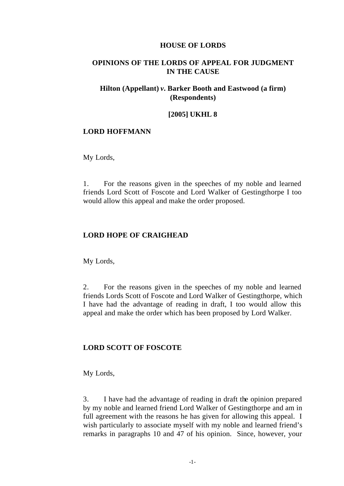### **HOUSE OF LORDS**

## **OPINIONS OF THE LORDS OF APPEAL FOR JUDGMENT IN THE CAUSE**

## **Hilton (Appellant)** *v.* **Barker Booth and Eastwood (a firm) (Respondents)**

### **[2005] UKHL 8**

### **LORD HOFFMANN**

My Lords,

1. For the reasons given in the speeches of my noble and learned friends Lord Scott of Foscote and Lord Walker of Gestingthorpe I too would allow this appeal and make the order proposed.

#### **LORD HOPE OF CRAIGHEAD**

My Lords,

2. For the reasons given in the speeches of my noble and learned friends Lords Scott of Foscote and Lord Walker of Gestingthorpe, which I have had the advantage of reading in draft, I too would allow this appeal and make the order which has been proposed by Lord Walker.

#### **LORD SCOTT OF FOSCOTE**

My Lords,

3. I have had the advantage of reading in draft the opinion prepared by my noble and learned friend Lord Walker of Gestingthorpe and am in full agreement with the reasons he has given for allowing this appeal. I wish particularly to associate myself with my noble and learned friend's remarks in paragraphs 10 and 47 of his opinion. Since, however, your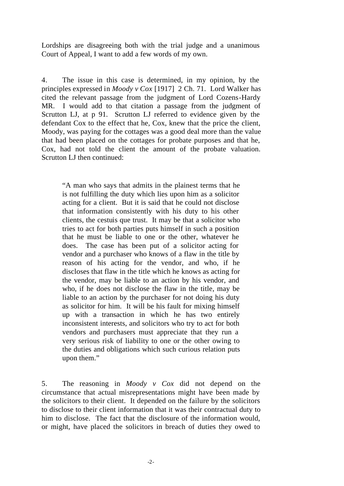Lordships are disagreeing both with the trial judge and a unanimous Court of Appeal, I want to add a few words of my own.

4. The issue in this case is determined, in my opinion, by the principles expressed in *Moody v Cox* [1917] 2 Ch. 71. Lord Walker has cited the relevant passage from the judgment of Lord Cozens-Hardy MR. I would add to that citation a passage from the judgment of Scrutton LJ, at p 91. Scrutton LJ referred to evidence given by the defendant Cox to the effect that he, Cox, knew that the price the client, Moody, was paying for the cottages was a good deal more than the value that had been placed on the cottages for probate purposes and that he, Cox, had not told the client the amount of the probate valuation. Scrutton LJ then continued:

"A man who says that admits in the plainest terms that he is not fulfilling the duty which lies upon him as a solicitor acting for a client. But it is said that he could not disclose that information consistently with his duty to his other clients, the cestuis que trust. It may be that a solicitor who tries to act for both parties puts himself in such a position that he must be liable to one or the other, whatever he does. The case has been put of a solicitor acting for vendor and a purchaser who knows of a flaw in the title by reason of his acting for the vendor, and who, if he discloses that flaw in the title which he knows as acting for the vendor, may be liable to an action by his vendor, and who, if he does not disclose the flaw in the title, may be liable to an action by the purchaser for not doing his duty as solicitor for him. It will be his fault for mixing himself up with a transaction in which he has two entirely inconsistent interests, and solicitors who try to act for both vendors and purchasers must appreciate that they run a very serious risk of liability to one or the other owing to the duties and obligations which such curious relation puts upon them."

5. The reasoning in *Moody v Cox* did not depend on the circumstance that actual misrepresentations might have been made by the solicitors to their client. It depended on the failure by the solicitors to disclose to their client information that it was their contractual duty to him to disclose. The fact that the disclosure of the information would, or might, have placed the solicitors in breach of duties they owed to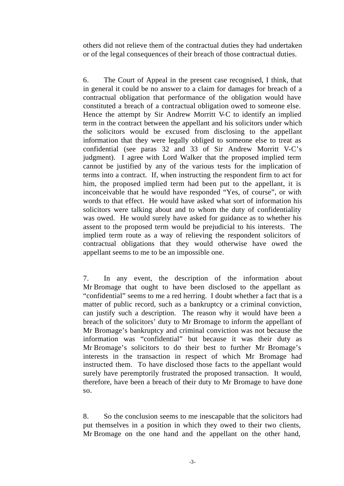others did not relieve them of the contractual duties they had undertaken or of the legal consequences of their breach of those contractual duties.

6. The Court of Appeal in the present case recognised, I think, that in general it could be no answer to a claim for damages for breach of a contractual obligation that performance of the obligation would have constituted a breach of a contractual obligation owed to someone else. Hence the attempt by Sir Andrew Morritt V-C to identify an implied term in the contract between the appellant and his solicitors under which the solicitors would be excused from disclosing to the appellant information that they were legally obliged to someone else to treat as confidential (see paras 32 and 33 of Sir Andrew Morritt V-C's judgment). I agree with Lord Walker that the proposed implied term cannot be justified by any of the various tests for the implication of terms into a contract. If, when instructing the respondent firm to act for him, the proposed implied term had been put to the appellant, it is inconceivable that he would have responded "Yes, of course", or with words to that effect. He would have asked what sort of information his solicitors were talking about and to whom the duty of confidentiality was owed. He would surely have asked for guidance as to whether his assent to the proposed term would be prejudicial to his interests. The implied term route as a way of relieving the respondent solicitors of contractual obligations that they would otherwise have owed the appellant seems to me to be an impossible one.

7. In any event, the description of the information about Mr Bromage that ought to have been disclosed to the appellant as "confidential" seems to me a red herring. I doubt whether a fact that is a matter of public record, such as a bankruptcy or a criminal conviction, can justify such a description. The reason why it would have been a breach of the solicitors' duty to Mr Bromage to inform the appellant of Mr Bromage's bankruptcy and criminal conviction was not because the information was "confidential" but because it was their duty as Mr Bromage's solicitors to do their best to further Mr Bromage's interests in the transaction in respect of which Mr Bromage had instructed them. To have disclosed those facts to the appellant would surely have peremptorily frustrated the proposed transaction. It would, therefore, have been a breach of their duty to Mr Bromage to have done so.

8. So the conclusion seems to me inescapable that the solicitors had put themselves in a position in which they owed to their two clients, Mr Bromage on the one hand and the appellant on the other hand,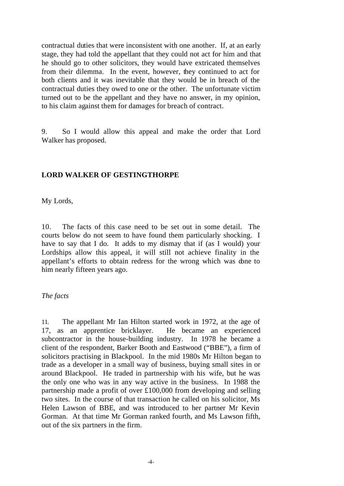contractual duties that were inconsistent with one another. If, at an early stage, they had told the appellant that they could not act for him and that he should go to other solicitors, they would have extricated themselves from their dilemma. In the event, however, they continued to act for both clients and it was inevitable that they would be in breach of the contractual duties they owed to one or the other. The unfortunate victim turned out to be the appellant and they have no answer, in my opinion, to his claim against them for damages for breach of contract.

9. So I would allow this appeal and make the order that Lord Walker has proposed.

# **LORD WALKER OF GESTINGTHORPE**

My Lords,

10. The facts of this case need to be set out in some detail. The courts below do not seem to have found them particularly shocking. I have to say that I do. It adds to my dismay that if (as I would) your Lordships allow this appeal, it will still not achieve finality in the appellant's efforts to obtain redress for the wrong which was done to him nearly fifteen years ago.

# *The facts*

11. The appellant Mr Ian Hilton started work in 1972, at the age of 17, as an apprentice bricklayer. He became an experienced subcontractor in the house-building industry. In 1978 he became a client of the respondent, Barker Booth and Eastwood ("BBE"), a firm of solicitors practising in Blackpool. In the mid 1980s Mr Hilton began to trade as a developer in a small way of business, buying small sites in or around Blackpool. He traded in partnership with his wife, but he was the only one who was in any way active in the business. In 1988 the partnership made a profit of over £100,000 from developing and selling two sites. In the course of that transaction he called on his solicitor, Ms Helen Lawson of BBE, and was introduced to her partner Mr Kevin Gorman. At that time Mr Gorman ranked fourth, and Ms Lawson fifth, out of the six partners in the firm.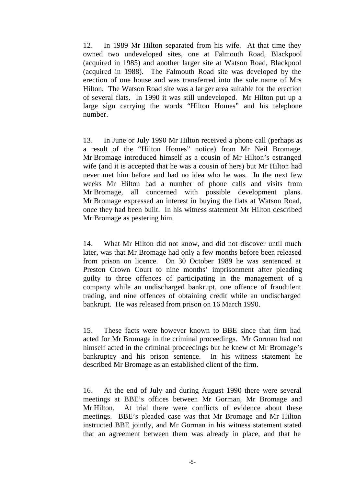12. In 1989 Mr Hilton separated from his wife. At that time they owned two undeveloped sites, one at Falmouth Road, Blackpool (acquired in 1985) and another larger site at Watson Road, Blackpool (acquired in 1988). The Falmouth Road site was developed by the erection of one house and was transferred into the sole name of Mrs Hilton. The Watson Road site was a larger area suitable for the erection of several flats. In 1990 it was still undeveloped. Mr Hilton put up a large sign carrying the words "Hilton Homes" and his telephone number.

13. In June or July 1990 Mr Hilton received a phone call (perhaps as a result of the "Hilton Homes" notice) from Mr Neil Bromage. Mr Bromage introduced himself as a cousin of Mr Hilton's estranged wife (and it is accepted that he was a cousin of hers) but Mr Hilton had never met him before and had no idea who he was. In the next few weeks Mr Hilton had a number of phone calls and visits from Mr Bromage, all concerned with possible development plans. Mr Bromage expressed an interest in buying the flats at Watson Road, once they had been built. In his witness statement Mr Hilton described Mr Bromage as pestering him.

14. What Mr Hilton did not know, and did not discover until much later, was that Mr Bromage had only a few months before been released from prison on licence. On 30 October 1989 he was sentenced at Preston Crown Court to nine months' imprisonment after pleading guilty to three offences of participating in the management of a company while an undischarged bankrupt, one offence of fraudulent trading, and nine offences of obtaining credit while an undischarged bankrupt. He was released from prison on 16 March 1990.

15. These facts were however known to BBE since that firm had acted for Mr Bromage in the criminal proceedings. Mr Gorman had not himself acted in the criminal proceedings but he knew of Mr Bromage's bankruptcy and his prison sentence. In his witness statement he described Mr Bromage as an established client of the firm.

16. At the end of July and during August 1990 there were several meetings at BBE's offices between Mr Gorman, Mr Bromage and Mr Hilton. At trial there were conflicts of evidence about these meetings. BBE's pleaded case was that Mr Bromage and Mr Hilton instructed BBE jointly, and Mr Gorman in his witness statement stated that an agreement between them was already in place, and that he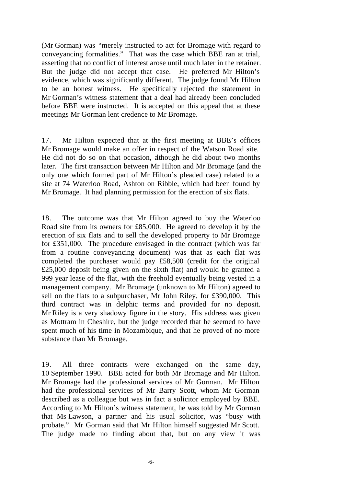(Mr Gorman) was "merely instructed to act for Bromage with regard to conveyancing formalities." That was the case which BBE ran at trial, asserting that no conflict of interest arose until much later in the retainer. But the judge did not accept that case. He preferred Mr Hilton's evidence, which was significantly different. The judge found Mr Hilton to be an honest witness. He specifically rejected the statement in Mr Gorman's witness statement that a deal had already been concluded before BBE were instructed. It is accepted on this appeal that at these meetings Mr Gorman lent credence to Mr Bromage.

17. Mr Hilton expected that at the first meeting at BBE's offices Mr Bromage would make an offer in respect of the Watson Road site. He did not do so on that occasion, although he did about two months later. The first transaction between Mr Hilton and Mr Bromage (and the only one which formed part of Mr Hilton's pleaded case) related to a site at 74 Waterloo Road, Ashton on Ribble, which had been found by Mr Bromage. It had planning permission for the erection of six flats.

18. The outcome was that Mr Hilton agreed to buy the Waterloo Road site from its owners for £85,000. He agreed to develop it by the erection of six flats and to sell the developed property to Mr Bromage for £351,000. The procedure envisaged in the contract (which was far from a routine conveyancing document) was that as each flat was completed the purchaser would pay £58,500 (credit for the original £25,000 deposit being given on the sixth flat) and would be granted a 999 year lease of the flat, with the freehold eventually being vested in a management company. Mr Bromage (unknown to Mr Hilton) agreed to sell on the flats to a subpurchaser, Mr John Riley, for £390,000. This third contract was in delphic terms and provided for no deposit. Mr Riley is a very shadowy figure in the story. His address was given as Mottram in Cheshire, but the judge recorded that he seemed to have spent much of his time in Mozambique, and that he proved of no more substance than Mr Bromage.

19. All three contracts were exchanged on the same day, 10 September 1990. BBE acted for both Mr Bromage and Mr Hilton. Mr Bromage had the professional services of Mr Gorman. Mr Hilton had the professional services of Mr Barry Scott, whom Mr Gorman described as a colleague but was in fact a solicitor employed by BBE. According to Mr Hilton's witness statement, he was told by Mr Gorman that Ms Lawson, a partner and his usual solicitor, was "busy with probate." Mr Gorman said that Mr Hilton himself suggested Mr Scott. The judge made no finding about that, but on any view it was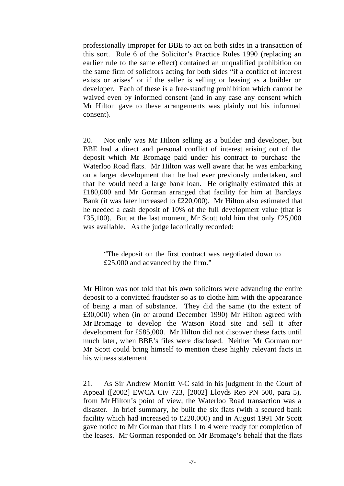professionally improper for BBE to act on both sides in a transaction of this sort. Rule 6 of the Solicitor's Practice Rules 1990 (replacing an earlier rule to the same effect) contained an unqualified prohibition on the same firm of solicitors acting for both sides "if a conflict of interest exists or arises" or if the seller is selling or leasing as a builder or developer. Each of these is a free-standing prohibition which cannot be waived even by informed consent (and in any case any consent which Mr Hilton gave to these arrangements was plainly not his informed consent).

20. Not only was Mr Hilton selling as a builder and developer, but BBE had a direct and personal conflict of interest arising out of the deposit which Mr Bromage paid under his contract to purchase the Waterloo Road flats. Mr Hilton was well aware that he was embarking on a larger development than he had ever previously undertaken, and that he would need a large bank loan. He originally estimated this at £180,000 and Mr Gorman arranged that facility for him at Barclays Bank (it was later increased to £220,000). Mr Hilton also estimated that he needed a cash deposit of 10% of the full development value (that is £35,100). But at the last moment, Mr Scott told him that only £25,000 was available. As the judge laconically recorded:

"The deposit on the first contract was negotiated down to £25,000 and advanced by the firm."

Mr Hilton was not told that his own solicitors were advancing the entire deposit to a convicted fraudster so as to clothe him with the appearance of being a man of substance. They did the same (to the extent of £30,000) when (in or around December 1990) Mr Hilton agreed with Mr Bromage to develop the Watson Road site and sell it after development for £585,000. Mr Hilton did not discover these facts until much later, when BBE's files were disclosed. Neither Mr Gorman nor Mr Scott could bring himself to mention these highly relevant facts in his witness statement.

21. As Sir Andrew Morritt V-C said in his judgment in the Court of Appeal ([2002] EWCA Civ 723, [2002] Lloyds Rep PN 500, para 5), from Mr Hilton's point of view, the Waterloo Road transaction was a disaster. In brief summary, he built the six flats (with a secured bank facility which had increased to £220,000) and in August 1991 Mr Scott gave notice to Mr Gorman that flats 1 to 4 were ready for completion of the leases. Mr Gorman responded on Mr Bromage's behalf that the flats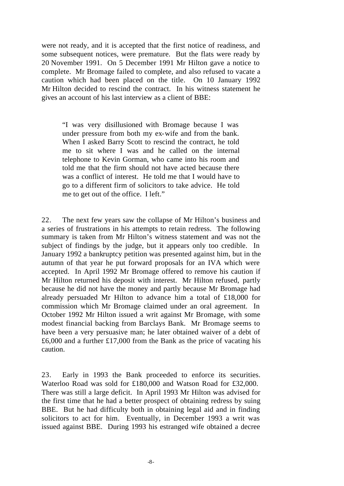were not ready, and it is accepted that the first notice of readiness, and some subsequent notices, were premature. But the flats were ready by 20 November 1991. On 5 December 1991 Mr Hilton gave a notice to complete. Mr Bromage failed to complete, and also refused to vacate a caution which had been placed on the title. On 10 January 1992 Mr Hilton decided to rescind the contract. In his witness statement he gives an account of his last interview as a client of BBE:

"I was very disillusioned with Bromage because I was under pressure from both my ex-wife and from the bank. When I asked Barry Scott to rescind the contract, he told me to sit where I was and he called on the internal telephone to Kevin Gorman, who came into his room and told me that the firm should not have acted because there was a conflict of interest. He told me that I would have to go to a different firm of solicitors to take advice. He told me to get out of the office. I left."

22. The next few years saw the collapse of Mr Hilton's business and a series of frustrations in his attempts to retain redress. The following summary is taken from Mr Hilton's witness statement and was not the subject of findings by the judge, but it appears only too credible. In January 1992 a bankruptcy petition was presented against him, but in the autumn of that year he put forward proposals for an IVA which were accepted. In April 1992 Mr Bromage offered to remove his caution if Mr Hilton returned his deposit with interest. Mr Hilton refused, partly because he did not have the money and partly because Mr Bromage had already persuaded Mr Hilton to advance him a total of £18,000 for commission which Mr Bromage claimed under an oral agreement. In October 1992 Mr Hilton issued a writ against Mr Bromage, with some modest financial backing from Barclays Bank. Mr Bromage seems to have been a very persuasive man; he later obtained waiver of a debt of  $£6,000$  and a further £17,000 from the Bank as the price of vacating his caution.

23. Early in 1993 the Bank proceeded to enforce its securities. Waterloo Road was sold for £180,000 and Watson Road for £32,000. There was still a large deficit. In April 1993 Mr Hilton was advised for the first time that he had a better prospect of obtaining redress by suing BBE. But he had difficulty both in obtaining legal aid and in finding solicitors to act for him. Eventually, in December 1993 a writ was issued against BBE. During 1993 his estranged wife obtained a decree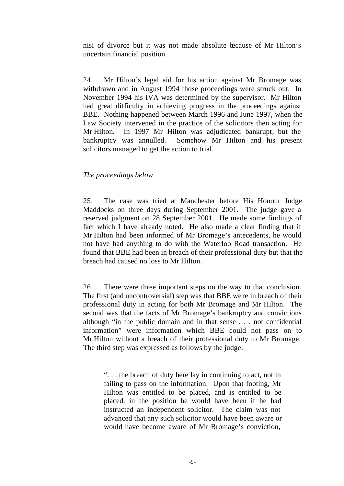nisi of divorce but it was not made absolute because of Mr Hilton's uncertain financial position.

24. Mr Hilton's legal aid for his action against Mr Bromage was withdrawn and in August 1994 those proceedings were struck out. In November 1994 his IVA was determined by the supervisor. Mr Hilton had great difficulty in achieving progress in the proceedings against BBE. Nothing happened between March 1996 and June 1997, when the Law Society intervened in the practice of the solicitors then acting for Mr Hilton. In 1997 Mr Hilton was adjudicated bankrupt, but the bankruptcy was annulled. Somehow Mr Hilton and his present solicitors managed to get the action to trial.

### *The proceedings below*

25. The case was tried at Manchester before His Honour Judge Maddocks on three days during September 2001. The judge gave a reserved judgment on 28 September 2001. He made some findings of fact which I have already noted. He also made a clear finding that if Mr Hilton had been informed of Mr Bromage's antecedents, he would not have had anything to do with the Waterloo Road transaction. He found that BBE had been in breach of their professional duty but that the breach had caused no loss to Mr Hilton.

26. There were three important steps on the way to that conclusion. The first (and uncontroversial) step was that BBE we re in breach of their professional duty in acting for both Mr Bromage and Mr Hilton. The second was that the facts of Mr Bromage's bankruptcy and convictions although "in the public domain and in that sense . . . not confidential information" were information which BBE could not pass on to Mr Hilton without a breach of their professional duty to Mr Bromage. The third step was expressed as follows by the judge:

". . . the breach of duty here lay in continuing to act, not in failing to pass on the information. Upon that footing, Mr Hilton was entitled to be placed, and is entitled to be placed, in the position he would have been if he had instructed an independent solicitor. The claim was not advanced that any such solicitor would have been aware or would have become aware of Mr Bromage's conviction,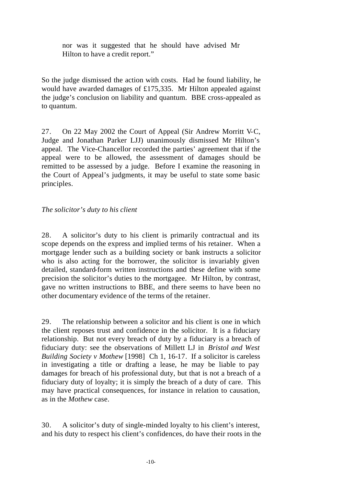nor was it suggested that he should have advised Mr Hilton to have a credit report."

So the judge dismissed the action with costs. Had he found liability, he would have awarded damages of £175,335. Mr Hilton appealed against the judge's conclusion on liability and quantum. BBE cross-appealed as to quantum.

27. On 22 May 2002 the Court of Appeal (Sir Andrew Morritt V-C, Judge and Jonathan Parker LJJ) unanimously dismissed Mr Hilton's appeal. The Vice-Chancellor recorded the parties' agreement that if the appeal were to be allowed, the assessment of damages should be remitted to be assessed by a judge. Before I examine the reasoning in the Court of Appeal's judgments, it may be useful to state some basic principles.

# *The solicitor's duty to his client*

28. A solicitor's duty to his client is primarily contractual and its scope depends on the express and implied terms of his retainer. When a mortgage lender such as a building society or bank instructs a solicitor who is also acting for the borrower, the solicitor is invariably given detailed, standard-form written instructions and these define with some precision the solicitor's duties to the mortgagee. Mr Hilton, by contrast, gave no written instructions to BBE, and there seems to have been no other documentary evidence of the terms of the retainer.

29. The relationship between a solicitor and his client is one in which the client reposes trust and confidence in the solicitor. It is a fiduciary relationship. But not every breach of duty by a fiduciary is a breach of fiduciary duty: see the observations of Millett LJ in *Bristol and West Building Society v Mothew* [1998] Ch 1, 16-17. If a solicitor is careless in investigating a title or drafting a lease, he may be liable to pay damages for breach of his professional duty, but that is not a breach of a fiduciary duty of loyalty; it is simply the breach of a duty of care. This may have practical consequences, for instance in relation to causation, as in the *Mothew* case.

30. A solicitor's duty of single-minded loyalty to his client's interest, and his duty to respect his client's confidences, do have their roots in the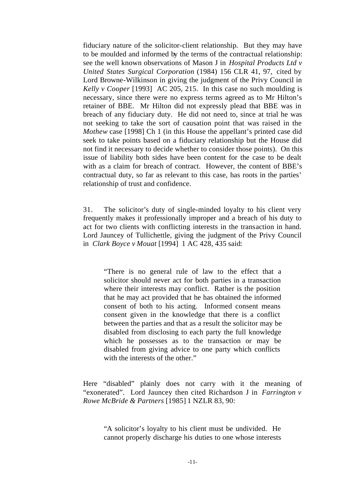fiduciary nature of the solicitor-client relationship. But they may have to be moulded and informed by the terms of the contractual relationship: see the well known observations of Mason J in *Hospital Products Ltd v United States Surgical Corporation* (1984) 156 CLR 41, 97, cited by Lord Browne-Wilkinson in giving the judgment of the Privy Council in *Kelly v Cooper* [1993] AC 205, 215. In this case no such moulding is necessary, since there were no express terms agreed as to Mr Hilton's retainer of BBE. Mr Hilton did not expressly plead that BBE was in breach of any fiduciary duty. He did not need to, since at trial he was not seeking to take the sort of causation point that was raised in the *Mothew* case [1998] Ch 1 (in this House the appellant's printed case did seek to take points based on a fiduciary relationship but the House did not find it necessary to decide whether to consider those points). On this issue of liability both sides have been content for the case to be dealt with as a claim for breach of contract. However, the content of BBE's contractual duty, so far as relevant to this case, has roots in the parties' relationship of trust and confidence.

31. The solicitor's duty of single-minded loyalty to his client very frequently makes it professionally improper and a breach of his duty to act for two clients with conflicting interests in the transaction in hand. Lord Jauncey of Tullichettle, giving the judgment of the Privy Council in *Clark Boyce v Mouat* [1994] 1 AC 428, 435 said:

"There is no general rule of law to the effect that a solicitor should never act for both parties in a transaction where their interests may conflict. Rather is the position that he may act provided that he has obtained the informed consent of both to his acting. Informed consent means consent given in the knowledge that there is a conflict between the parties and that as a result the solicitor may be disabled from disclosing to each party the full knowledge which he possesses as to the transaction or may be disabled from giving advice to one party which conflicts with the interests of the other."

Here "disabled" plainly does not carry with it the meaning of "exonerated". Lord Jauncey then cited Richardson J in *Farrington v Rowe McBride & Partners* [1985] 1 NZLR 83, 90:

"A solicitor's loyalty to his client must be undivided. He cannot properly discharge his duties to one whose interests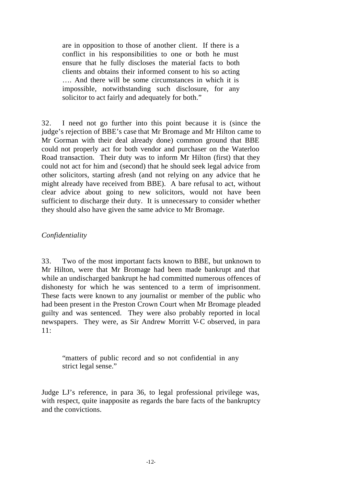are in opposition to those of another client. If there is a conflict in his responsibilities to one or both he must ensure that he fully discloses the material facts to both clients and obtains their informed consent to his so acting …. And there will be some circumstances in which it is impossible, notwithstanding such disclosure, for any solicitor to act fairly and adequately for both."

32. I need not go further into this point because it is (since the judge's rejection of BBE's case that Mr Bromage and Mr Hilton came to Mr Gorman with their deal already done) common ground that BBE could not properly act for both vendor and purchaser on the Waterloo Road transaction. Their duty was to inform Mr Hilton (first) that they could not act for him and (second) that he should seek legal advice from other solicitors, starting afresh (and not relying on any advice that he might already have received from BBE). A bare refusal to act, without clear advice about going to new solicitors, would not have been sufficient to discharge their duty. It is unnecessary to consider whether they should also have given the same advice to Mr Bromage.

## *Confidentiality*

33. Two of the most important facts known to BBE, but unknown to Mr Hilton, were that Mr Bromage had been made bankrupt and that while an undischarged bankrupt he had committed numerous offences of dishonesty for which he was sentenced to a term of imprisonment. These facts were known to any journalist or member of the public who had been present in the Preston Crown Court when Mr Bromage pleaded guilty and was sentenced. They were also probably reported in local newspapers. They were, as Sir Andrew Morritt V-C observed, in para 11:

"matters of public record and so not confidential in any strict legal sense."

Judge LJ's reference, in para 36, to legal professional privilege was, with respect, quite inapposite as regards the bare facts of the bankruptcy and the convictions.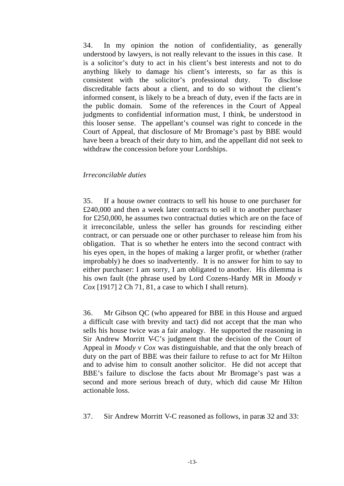34. In my opinion the notion of confidentiality, as generally understood by lawyers, is not really relevant to the issues in this case. It is a solicitor's duty to act in his client's best interests and not to do anything likely to damage his client's interests, so far as this is consistent with the solicitor's professional duty. To disclose discreditable facts about a client, and to do so without the client's informed consent, is likely to be a breach of duty, even if the facts are in the public domain. Some of the references in the Court of Appeal judgments to confidential information must, I think, be understood in this looser sense. The appellant's counsel was right to concede in the Court of Appeal, that disclosure of Mr Bromage's past by BBE would have been a breach of their duty to him, and the appellant did not seek to withdraw the concession before your Lordships.

### *Irreconcilable duties*

35. If a house owner contracts to sell his house to one purchaser for £240,000 and then a week later contracts to sell it to another purchaser for £250,000, he assumes two contractual duties which are on the face of it irreconcilable, unless the seller has grounds for rescinding either contract, or can persuade one or other purchaser to release him from his obligation. That is so whether he enters into the second contract with his eyes open, in the hopes of making a larger profit, or whether (rather improbably) he does so inadvertently. It is no answer for him to say to either purchaser: I am sorry, I am obligated to another. His dilemma is his own fault (the phrase used by Lord Cozens-Hardy MR in *Moody v Cox* [1917] 2 Ch 71, 81, a case to which I shall return).

36. Mr Gibson QC (who appeared for BBE in this House and argued a difficult case with brevity and tact) did not accept that the man who sells his house twice was a fair analogy. He supported the reasoning in Sir Andrew Morritt V-C's judgment that the decision of the Court of Appeal in *Moody v Cox* was distinguishable, and that the only breach of duty on the part of BBE was their failure to refuse to act for Mr Hilton and to advise him to consult another solicitor. He did not accept that BBE's failure to disclose the facts about Mr Bromage's past was a second and more serious breach of duty, which did cause Mr Hilton actionable loss.

37. Sir Andrew Morritt V-C reasoned as follows, in paras 32 and 33: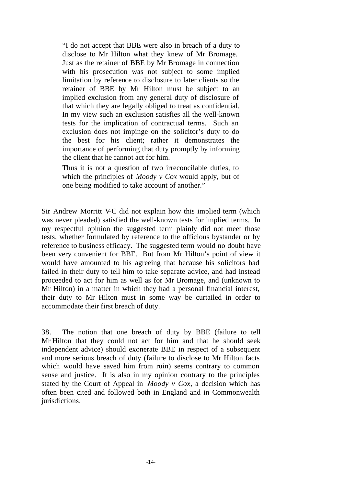"I do not accept that BBE were also in breach of a duty to disclose to Mr Hilton what they knew of Mr Bromage. Just as the retainer of BBE by Mr Bromage in connection with his prosecution was not subject to some implied limitation by reference to disclosure to later clients so the retainer of BBE by Mr Hilton must be subject to an implied exclusion from any general duty of disclosure of that which they are legally obliged to treat as confidential. In my view such an exclusion satisfies all the well-known tests for the implication of contractual terms. Such an exclusion does not impinge on the solicitor's duty to do the best for his client; rather it demonstrates the importance of performing that duty promptly by informing the client that he cannot act for him.

Thus it is not a question of two irreconcilable duties, to which the principles of *Moody v Cox* would apply, but of one being modified to take account of another."

Sir Andrew Morritt V-C did not explain how this implied term (which was never pleaded) satisfied the well-known tests for implied terms. In my respectful opinion the suggested term plainly did not meet those tests, whether formulated by reference to the officious bystander or by reference to business efficacy. The suggested term would no doubt have been very convenient for BBE. But from Mr Hilton's point of view it would have amounted to his agreeing that because his solicitors had failed in their duty to tell him to take separate advice, and had instead proceeded to act for him as well as for Mr Bromage, and (unknown to Mr Hilton) in a matter in which they had a personal financial interest, their duty to Mr Hilton must in some way be curtailed in order to accommodate their first breach of duty.

38. The notion that one breach of duty by BBE (failure to tell Mr Hilton that they could not act for him and that he should seek independent advice) should exonerate BBE in respect of a subsequent and more serious breach of duty (failure to disclose to Mr Hilton facts which would have saved him from ruin) seems contrary to common sense and justice. It is also in my opinion contrary to the principles stated by the Court of Appeal in *Moody v Cox*, a decision which has often been cited and followed both in England and in Commonwealth jurisdictions.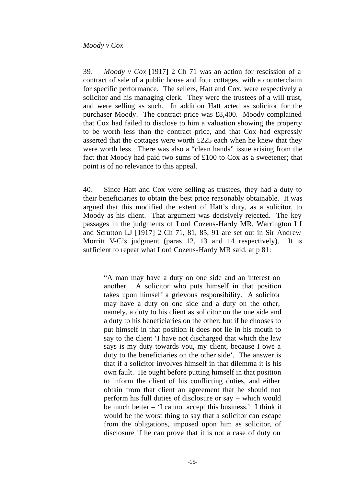39. *Moody v Cox* [1917] 2 Ch 71 was an action for rescission of a contract of sale of a public house and four cottages, with a counterclaim for specific performance. The sellers, Hatt and Cox, were respectively a solicitor and his managing clerk. They were the trustees of a will trust, and were selling as such. In addition Hatt acted as solicitor for the purchaser Moody. The contract price was £8,400. Moody complained that Cox had failed to disclose to him a valuation showing the property to be worth less than the contract price, and that Cox had expressly asserted that the cottages were worth £225 each when he knew that they were worth less. There was also a "clean hands" issue arising from the fact that Moody had paid two sums of £100 to Cox as a sweetener; that point is of no relevance to this appeal.

40. Since Hatt and Cox were selling as trustees, they had a duty to their beneficiaries to obtain the best price reasonably obtainable. It was argued that this modified the extent of Hatt's duty, as a solicitor, to Moody as his client. That argument was decisively rejected. The key passages in the judgments of Lord Cozens-Hardy MR, Warrington LJ and Scrutton LJ [1917] 2 Ch 71, 81, 85, 91 are set out in Sir Andrew Morritt V-C's judgment (paras 12, 13 and 14 respectively). It is sufficient to repeat what Lord Cozens-Hardy MR said, at p 81:

"A man may have a duty on one side and an interest on another. A solicitor who puts himself in that position takes upon himself a grievous responsibility. A solicitor may have a duty on one side and a duty on the other, namely, a duty to his client as solicitor on the one side and a duty to his beneficiaries on the other; but if he chooses to put himself in that position it does not lie in his mouth to say to the client 'I have not discharged that which the law says is my duty towards you, my client, because I owe a duty to the beneficiaries on the other side'. The answer is that if a solicitor involves himself in that dilemma it is his own fault. He ought before putting himself in that position to inform the client of his conflicting duties, and either obtain from that client an agreement that he should not perform his full duties of disclosure or say – which would be much better – 'I cannot accept this business.' I think it would be the worst thing to say that a solicitor can escape from the obligations, imposed upon him as solicitor, of disclosure if he can prove that it is not a case of duty on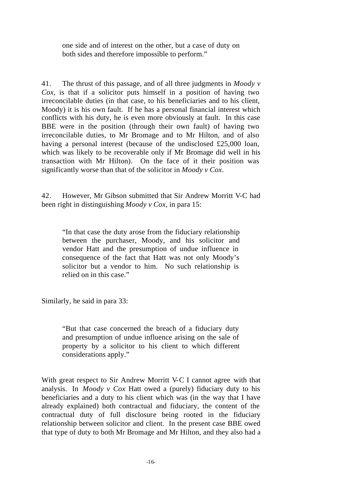one side and of interest on the other, but a case of duty on both sides and therefore impossible to perform."

41. The thrust of this passage, and of all three judgments in *Moody v Cox*, is that if a solicitor puts himself in a position of having two irreconcilable duties (in that case, to his beneficiaries and to his client, Moody) it is his own fault. If he has a personal financial interest which conflicts with his duty, he is even more obviously at fault. In this case BBE were in the position (through their own fault) of having two irreconcilable duties, to Mr Bromage and to Mr Hilton, and of also having a personal interest (because of the undisclosed £25,000 loan, which was likely to be recoverable only if Mr Bromage did well in his transaction with Mr Hilton). On the face of it their position was significantly worse than that of the solicitor in *Moody v Cox*.

42. However, Mr Gibson submitted that Sir Andrew Morritt V-C had been right in distinguishing *Moody v Cox*, in para 15:

"In that case the duty arose from the fiduciary relationship between the purchaser, Moody, and his solicitor and vendor Hatt and the presumption of undue influence in consequence of the fact that Hatt was not only Moody's solicitor but a vendor to him. No such relationship is relied on in this case."

Similarly, he said in para 33:

"But that case concerned the breach of a fiduciary duty and presumption of undue influence arising on the sale of property by a solicitor to his client to which different considerations apply."

With great respect to Sir Andrew Morritt V-C I cannot agree with that analysis. In *Moody v Cox* Hatt owed a (purely) fiduciary duty to his beneficiaries and a duty to his client which was (in the way that I have already explained) both contractual and fiduciary, the content of the contractual duty of full disclosure being rooted in the fiduciary relationship between solicitor and client. In the present case BBE owed that type of duty to both Mr Bromage and Mr Hilton, and they also had a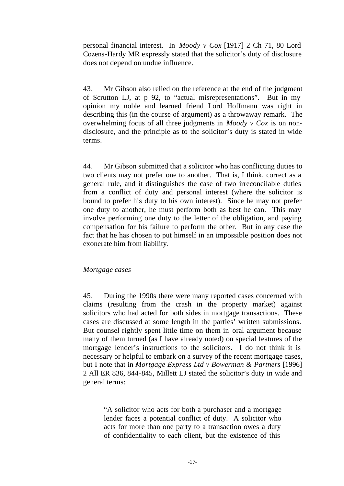personal financial interest. In *Moody v Cox* [1917] 2 Ch 71, 80 Lord Cozens-Hardy MR expressly stated that the solicitor's duty of disclosure does not depend on undue influence.

43. Mr Gibson also relied on the reference at the end of the judgment of Scrutton LJ, at p 92, to "actual misrepresentations". But in my opinion my noble and learned friend Lord Hoffmann was right in describing this (in the course of argument) as a throwaway remark. The overwhelming focus of all three judgments in *Moody v Cox* is on nondisclosure, and the principle as to the solicitor's duty is stated in wide terms.

44. Mr Gibson submitted that a solicitor who has conflicting duties to two clients may not prefer one to another. That is, I think, correct as a general rule, and it distinguishes the case of two irreconcilable duties from a conflict of duty and personal interest (where the solicitor is bound to prefer his duty to his own interest). Since he may not prefer one duty to another, he must perform both as best he can. This may involve performing one duty to the letter of the obligation, and paying compensation for his failure to perform the other. But in any case the fact that he has chosen to put himself in an impossible position does not exonerate him from liability.

### *Mortgage cases*

45. During the 1990s there were many reported cases concerned with claims (resulting from the crash in the property market) against solicitors who had acted for both sides in mortgage transactions. These cases are discussed at some length in the parties' written submissions. But counsel rightly spent little time on them in oral argument because many of them turned (as I have already noted) on special features of the mortgage lender's instructions to the solicitors. I do not think it is necessary or helpful to embark on a survey of the recent mortgage cases, but I note that in *Mortgage Express Ltd v Bowerman & Partners* [1996] 2 All ER 836, 844-845, Millett LJ stated the solicitor's duty in wide and general terms:

"A solicitor who acts for both a purchaser and a mortgage lender faces a potential conflict of duty. A solicitor who acts for more than one party to a transaction owes a duty of confidentiality to each client, but the existence of this